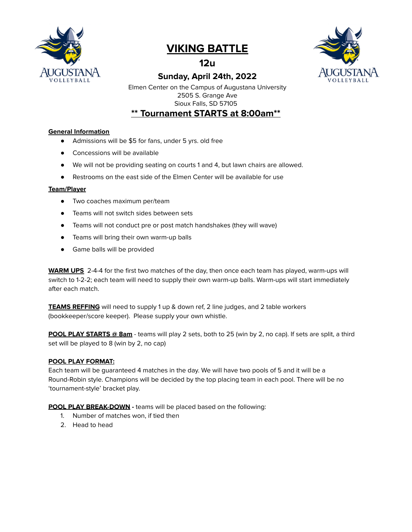

# **VIKING BATTLE**

**12u**





Elmen Center on the Campus of Augustana University 2505 S. Grange Ave Sioux Falls, SD 57105

# **\*\* Tournament STARTS at 8:00am\*\***

## **General Information**

- Admissions will be \$5 for fans, under 5 yrs. old free
- Concessions will be available
- We will not be providing seating on courts 1 and 4, but lawn chairs are allowed.
- Restrooms on the east side of the Elmen Center will be available for use

#### **Team/Player**

- Two coaches maximum per/team
- Teams will not switch sides between sets
- Teams will not conduct pre or post match handshakes (they will wave)
- Teams will bring their own warm-up balls
- Game balls will be provided

**WARM UPS** 2-4-4 for the first two matches of the day, then once each team has played, warm-ups will switch to 1-2-2; each team will need to supply their own warm-up balls. Warm-ups will start immediately after each match.

**TEAMS REFFING** will need to supply 1 up & down ref, 2 line judges, and 2 table workers (bookkeeper/score keeper). Please supply your own whistle.

**POOL PLAY STARTS @ 8am** - teams will play 2 sets, both to 25 (win by 2, no cap). If sets are split, a third set will be played to 8 (win by 2, no cap)

#### **POOL PLAY FORMAT:**

Each team will be guaranteed 4 matches in the day. We will have two pools of 5 and it will be a Round-Robin style. Champions will be decided by the top placing team in each pool. There will be no 'tournament-style' bracket play.

**POOL PLAY BREAK-DOWN -** teams will be placed based on the following:

- 1. Number of matches won, if tied then
- 2. Head to head